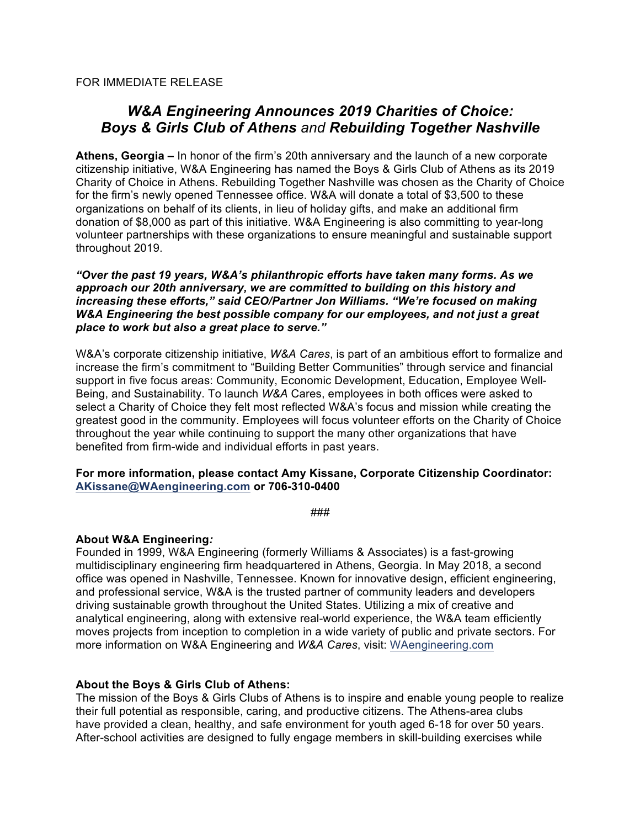FOR IMMEDIATE RELEASE

# *W&A Engineering Announces 2019 Charities of Choice: Boys & Girls Club of Athens and Rebuilding Together Nashville*

**Athens, Georgia –** In honor of the firm's 20th anniversary and the launch of a new corporate citizenship initiative, W&A Engineering has named the Boys & Girls Club of Athens as its 2019 Charity of Choice in Athens. Rebuilding Together Nashville was chosen as the Charity of Choice for the firm's newly opened Tennessee office. W&A will donate a total of \$3,500 to these organizations on behalf of its clients, in lieu of holiday gifts, and make an additional firm donation of \$8,000 as part of this initiative. W&A Engineering is also committing to year-long volunteer partnerships with these organizations to ensure meaningful and sustainable support throughout 2019.

*"Over the past 19 years, W&A's philanthropic efforts have taken many forms. As we approach our 20th anniversary, we are committed to building on this history and increasing these efforts," said CEO/Partner Jon Williams. "We're focused on making W&A Engineering the best possible company for our employees, and not just a great place to work but also a great place to serve."*

W&A's corporate citizenship initiative, *W&A Cares*, is part of an ambitious effort to formalize and increase the firm's commitment to "Building Better Communities" through service and financial support in five focus areas: Community, Economic Development, Education, Employee Well-Being, and Sustainability. To launch *W&A* Cares, employees in both offices were asked to select a Charity of Choice they felt most reflected W&A's focus and mission while creating the greatest good in the community. Employees will focus volunteer efforts on the Charity of Choice throughout the year while continuing to support the many other organizations that have benefited from firm-wide and individual efforts in past years.

#### **For more information, please contact Amy Kissane, Corporate Citizenship Coordinator: AKissane@WAengineering.com or 706-310-0400**

###

#### **About W&A Engineering***:*

Founded in 1999, W&A Engineering (formerly Williams & Associates) is a fast-growing multidisciplinary engineering firm headquartered in Athens, Georgia. In May 2018, a second office was opened in Nashville, Tennessee. Known for innovative design, efficient engineering, and professional service, W&A is the trusted partner of community leaders and developers driving sustainable growth throughout the United States. Utilizing a mix of creative and analytical engineering, along with extensive real-world experience, the W&A team efficiently moves projects from inception to completion in a wide variety of public and private sectors. For more information on W&A Engineering and *W&A Cares*, visit: WAengineering.com

## **About the Boys & Girls Club of Athens:**

The mission of the Boys & Girls Clubs of Athens is to inspire and enable young people to realize their full potential as responsible, caring, and productive citizens. The Athens-area clubs have provided a clean, healthy, and safe environment for youth aged 6-18 for over 50 years. After-school activities are designed to fully engage members in skill-building exercises while